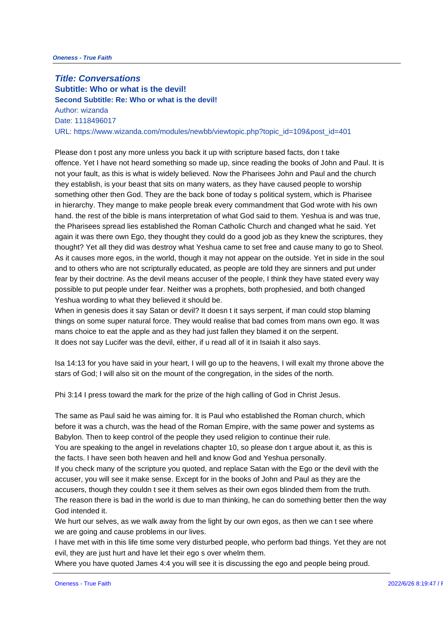**Title: Conversations Subtitle: Who or what is the devil! Second Subtitle: Re: Who or what is the devil!** Author: wizanda Date: 1118496017 URL: https://www.wizanda.com/modules/newbb/viewtopic.php?topic\_id=109&

Please don t post any more unless you back it up with scripture based facts offence. Yet I have not heard something so made up, since reading the boo not your fault, as this is what is widely believed. Now the Pharisees John a they establish, is your beast that sits on many waters, as they have caused something other then God. They are the back bone of today s political syst in hierarchy. They mange to make people break every commandment that Go hand. the rest of the bible is mans interpretation of what God said to them. the Pharisees spread lies established the Roman Catholic Church and chan again it was there own Ego, they thought they could do a good job as they thought? Yet all they did was destroy what Yeshua came to set free and ca As it causes more egos, in the world, though it may not appear on the outs and to others who are not scripturally educated, as people are told they ar fear by their doctrine. As the devil means accuser of the people, I think the possible to put people under fear. Neither was a prophets, both prophesied Yeshua wording to what they believed it should be.

When in genesis does it say Satan or devil? It doesn t it says serpent, if m things on some super natural force. They would realise that bad comes fror mans choice to eat the apple and as they had just fallen they blamed it on It does not say Lucifer was the devil, either, if u read all of it in Isaiah it

Isa 14:13 for you have said in your heart, I will go up to the heavens, I wil stars of God; I will also sit on the mount of the congregation, in the sides

Phi 3:14 I press toward the mark for the prize of the high calling of God in

The same as Paul said he was aiming for. It is Paul who established the Roman church, which before it was a church, was the head of the Roman Empire, with the same p Babylon. Then to keep control of the people they used religion to continue You are speaking to the angel in revelations chapter 10, so please don t ar the facts. I have seen both heaven and hell and know God and Yeshua pers If you check many of the scripture you quoted, and replace Satan with the accuser, you will see it make sense. Except for in the books of John and  $P_i$ accusers, though they couldn t see it them selves as their own egos blinde The reason there is bad in the world is due to man thinking, he can do som God intended it.

We hurt our selves, as we walk away from the light by our own egos, as the we are going and cause problems in our lives.

I have met with in this life time some very disturbed people, who perform b evil, they are just hurt and have let their ego s over whelm them.

Where you have quoted James 4:4 you will see it is discussing the ego and